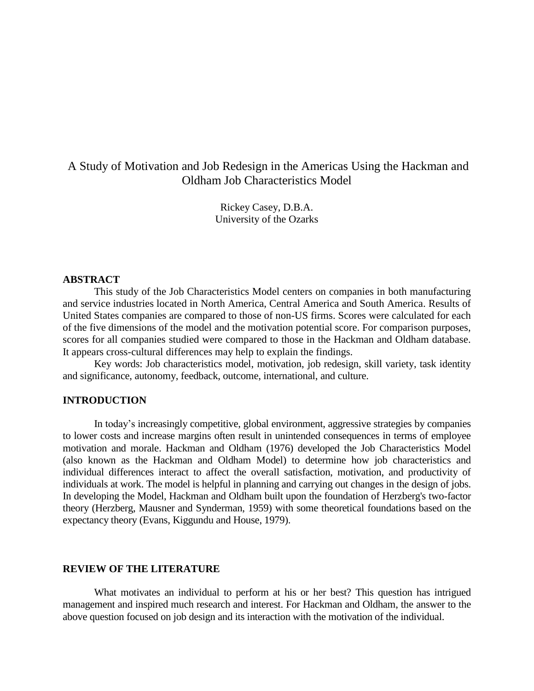# A Study of Motivation and Job Redesign in the Americas Using the Hackman and Oldham Job Characteristics Model

Rickey Casey, D.B.A. University of the Ozarks

#### **ABSTRACT**

This study of the Job Characteristics Model centers on companies in both manufacturing and service industries located in North America, Central America and South America. Results of United States companies are compared to those of non-US firms. Scores were calculated for each of the five dimensions of the model and the motivation potential score. For comparison purposes, scores for all companies studied were compared to those in the Hackman and Oldham database. It appears cross-cultural differences may help to explain the findings.

Key words: Job characteristics model, motivation, job redesign, skill variety, task identity and significance, autonomy, feedback, outcome, international, and culture.

# **INTRODUCTION**

In today's increasingly competitive, global environment, aggressive strategies by companies to lower costs and increase margins often result in unintended consequences in terms of employee motivation and morale. Hackman and Oldham (1976) developed the Job Characteristics Model (also known as the Hackman and Oldham Model) to determine how job characteristics and individual differences interact to affect the overall satisfaction, motivation, and productivity of individuals at work. The model is helpful in planning and carrying out changes in the design of jobs. In developing the Model, Hackman and Oldham built upon the foundation of Herzberg's two-factor theory (Herzberg, Mausner and Synderman, 1959) with some theoretical foundations based on the expectancy theory (Evans, Kiggundu and House, 1979).

### **REVIEW OF THE LITERATURE**

What motivates an individual to perform at his or her best? This question has intrigued management and inspired much research and interest. For Hackman and Oldham, the answer to the above question focused on job design and its interaction with the motivation of the individual.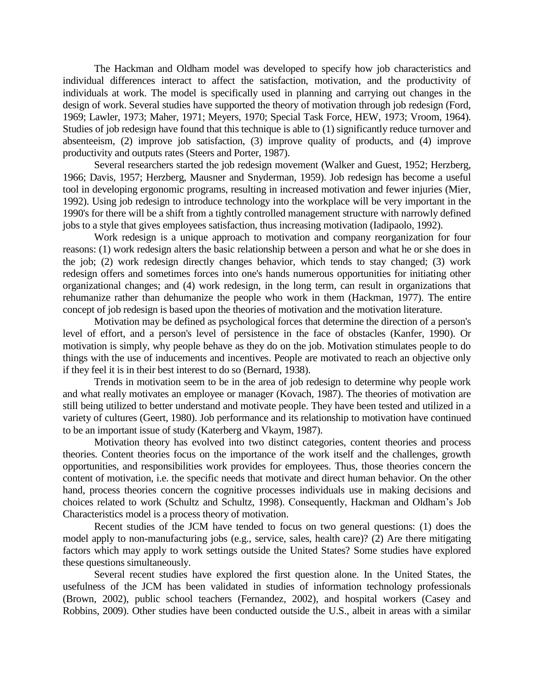The Hackman and Oldham model was developed to specify how job characteristics and individual differences interact to affect the satisfaction, motivation, and the productivity of individuals at work. The model is specifically used in planning and carrying out changes in the design of work. Several studies have supported the theory of motivation through job redesign (Ford, 1969; Lawler, 1973; Maher, 1971; Meyers, 1970; Special Task Force, HEW, 1973; Vroom, 1964). Studies of job redesign have found that this technique is able to (1) significantly reduce turnover and absenteeism, (2) improve job satisfaction, (3) improve quality of products, and (4) improve productivity and outputs rates (Steers and Porter, 1987).

Several researchers started the job redesign movement (Walker and Guest, 1952; Herzberg, 1966; Davis, 1957; Herzberg, Mausner and Snyderman, 1959). Job redesign has become a useful tool in developing ergonomic programs, resulting in increased motivation and fewer injuries (Mier, 1992). Using job redesign to introduce technology into the workplace will be very important in the 1990's for there will be a shift from a tightly controlled management structure with narrowly defined jobs to a style that gives employees satisfaction, thus increasing motivation (Iadipaolo, 1992).

Work redesign is a unique approach to motivation and company reorganization for four reasons: (1) work redesign alters the basic relationship between a person and what he or she does in the job; (2) work redesign directly changes behavior, which tends to stay changed; (3) work redesign offers and sometimes forces into one's hands numerous opportunities for initiating other organizational changes; and (4) work redesign, in the long term, can result in organizations that rehumanize rather than dehumanize the people who work in them (Hackman, 1977). The entire concept of job redesign is based upon the theories of motivation and the motivation literature.

Motivation may be defined as psychological forces that determine the direction of a person's level of effort, and a person's level of persistence in the face of obstacles (Kanfer, 1990). Or motivation is simply, why people behave as they do on the job. Motivation stimulates people to do things with the use of inducements and incentives. People are motivated to reach an objective only if they feel it is in their best interest to do so (Bernard, 1938).

Trends in motivation seem to be in the area of job redesign to determine why people work and what really motivates an employee or manager (Kovach, 1987). The theories of motivation are still being utilized to better understand and motivate people. They have been tested and utilized in a variety of cultures (Geert, 1980). Job performance and its relationship to motivation have continued to be an important issue of study (Katerberg and Vkaym, 1987).

Motivation theory has evolved into two distinct categories, content theories and process theories. Content theories focus on the importance of the work itself and the challenges, growth opportunities, and responsibilities work provides for employees. Thus, those theories concern the content of motivation, i.e. the specific needs that motivate and direct human behavior. On the other hand, process theories concern the cognitive processes individuals use in making decisions and choices related to work (Schultz and Schultz, 1998). Consequently, Hackman and Oldham's Job Characteristics model is a process theory of motivation.

Recent studies of the JCM have tended to focus on two general questions: (1) does the model apply to non-manufacturing jobs (e.g., service, sales, health care)? (2) Are there mitigating factors which may apply to work settings outside the United States? Some studies have explored these questions simultaneously.

Several recent studies have explored the first question alone. In the United States, the usefulness of the JCM has been validated in studies of information technology professionals (Brown, 2002), public school teachers (Fernandez, 2002), and hospital workers (Casey and Robbins, 2009). Other studies have been conducted outside the U.S., albeit in areas with a similar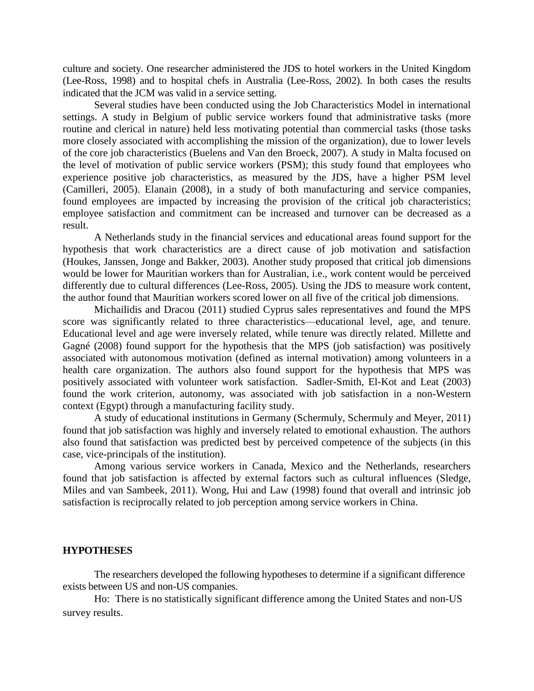culture and society. One researcher administered the JDS to hotel workers in the United Kingdom (Lee-Ross, 1998) and to hospital chefs in Australia (Lee-Ross, 2002). In both cases the results indicated that the JCM was valid in a service setting.

Several studies have been conducted using the Job Characteristics Model in international settings. A study in Belgium of public service workers found that administrative tasks (more routine and clerical in nature) held less motivating potential than commercial tasks (those tasks more closely associated with accomplishing the mission of the organization), due to lower levels of the core job characteristics (Buelens and Van den Broeck, 2007). A study in Malta focused on the level of motivation of public service workers (PSM); this study found that employees who experience positive job characteristics, as measured by the JDS, have a higher PSM level (Camilleri, 2005). Elanain (2008), in a study of both manufacturing and service companies, found employees are impacted by increasing the provision of the critical job characteristics; employee satisfaction and commitment can be increased and turnover can be decreased as a result.

A Netherlands study in the financial services and educational areas found support for the hypothesis that work characteristics are a direct cause of job motivation and satisfaction (Houkes, Janssen, Jonge and Bakker, 2003). Another study proposed that critical job dimensions would be lower for Mauritian workers than for Australian, i.e., work content would be perceived differently due to cultural differences (Lee-Ross, 2005). Using the JDS to measure work content, the author found that Mauritian workers scored lower on all five of the critical job dimensions.

Michailidis and Dracou (2011) studied Cyprus sales representatives and found the MPS score was significantly related to three characteristics—educational level, age, and tenure. Educational level and age were inversely related, while tenure was directly related. Millette and Gagné (2008) found support for the hypothesis that the MPS (job satisfaction) was positively associated with autonomous motivation (defined as internal motivation) among volunteers in a health care organization. The authors also found support for the hypothesis that MPS was positively associated with volunteer work satisfaction. Sadler-Smith, El-Kot and Leat (2003) found the work criterion, autonomy, was associated with job satisfaction in a non-Western context (Egypt) through a manufacturing facility study.

A study of educational institutions in Germany (Schermuly, Schermuly and Meyer, 2011) found that job satisfaction was highly and inversely related to emotional exhaustion. The authors also found that satisfaction was predicted best by perceived competence of the subjects (in this case, vice-principals of the institution).

Among various service workers in Canada, Mexico and the Netherlands, researchers found that job satisfaction is affected by external factors such as cultural influences (Sledge, Miles and van Sambeek, 2011). Wong, Hui and Law (1998) found that overall and intrinsic job satisfaction is reciprocally related to job perception among service workers in China.

#### **HYPOTHESES**

The researchers developed the following hypotheses to determine if a significant difference exists between US and non-US companies.

Ho: There is no statistically significant difference among the United States and non-US survey results.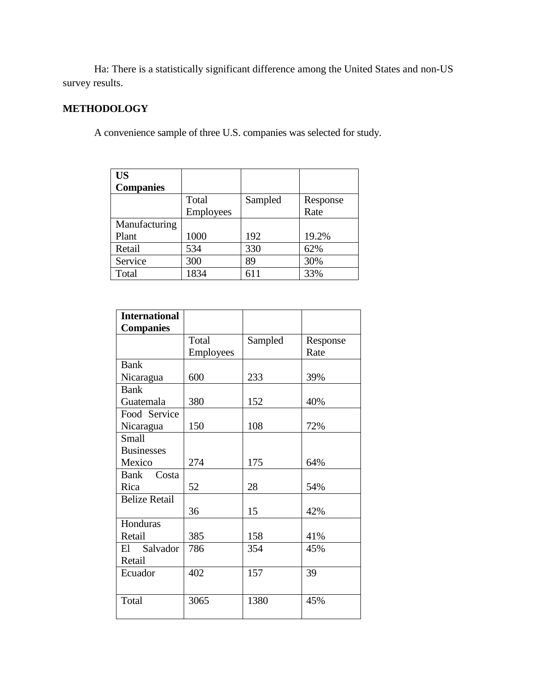Ha: There is a statistically significant difference among the United States and non-US survey results.

# **METHODOLOGY**

A convenience sample of three U.S. companies was selected for study.

| <b>US</b>        |                  |         |          |
|------------------|------------------|---------|----------|
| <b>Companies</b> |                  |         |          |
|                  | Total            | Sampled | Response |
|                  | <b>Employees</b> |         | Rate     |
| Manufacturing    |                  |         |          |
| Plant            | 1000             | 192     | 19.2%    |
| Retail           | 534              | 330     | 62%      |
| Service          | 300              | 89      | 30%      |
| Total            | 1834             | 611     | 33%      |

| <b>International</b> |                  |         |          |
|----------------------|------------------|---------|----------|
| <b>Companies</b>     |                  |         |          |
|                      | Total            | Sampled | Response |
|                      | <b>Employees</b> |         | Rate     |
| <b>Bank</b>          |                  |         |          |
| Nicaragua            | 600              | 233     | 39%      |
| <b>Bank</b>          |                  |         |          |
| Guatemala            | 380              | 152     | 40%      |
| Food Service         |                  |         |          |
| Nicaragua            | 150              | 108     | 72%      |
| <b>Small</b>         |                  |         |          |
| <b>Businesses</b>    |                  |         |          |
| Mexico               | 274              | 175     | 64%      |
| Bank Costa           |                  |         |          |
| Rica                 | 52               | 28      | 54%      |
| <b>Belize Retail</b> |                  |         |          |
|                      | 36               | 15      | 42%      |
| Honduras             |                  |         |          |
| Retail               | 385              | 158     | 41%      |
| El Salvador          | 786              | 354     | 45%      |
| Retail               |                  |         |          |
| Ecuador              | 402              | 157     | 39       |
|                      |                  |         |          |
| Total                | 3065             | 1380    | 45%      |
|                      |                  |         |          |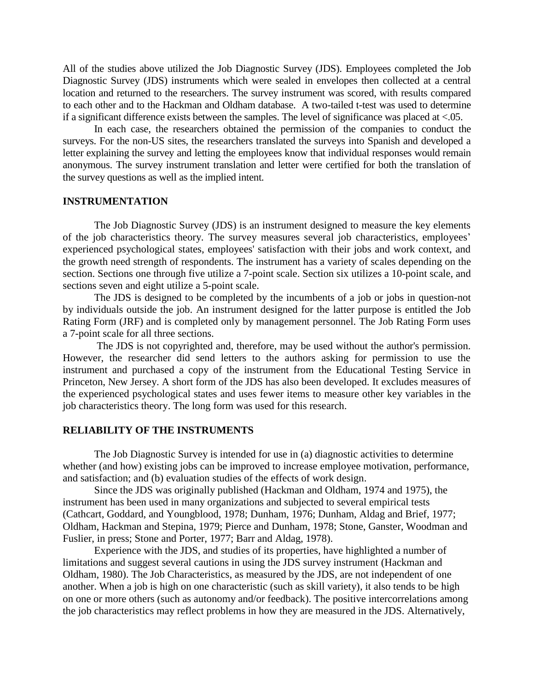All of the studies above utilized the Job Diagnostic Survey (JDS). Employees completed the Job Diagnostic Survey (JDS) instruments which were sealed in envelopes then collected at a central location and returned to the researchers. The survey instrument was scored, with results compared to each other and to the Hackman and Oldham database. A two-tailed t-test was used to determine if a significant difference exists between the samples. The level of significance was placed at <.05.

In each case, the researchers obtained the permission of the companies to conduct the surveys. For the non-US sites, the researchers translated the surveys into Spanish and developed a letter explaining the survey and letting the employees know that individual responses would remain anonymous. The survey instrument translation and letter were certified for both the translation of the survey questions as well as the implied intent.

## **INSTRUMENTATION**

The Job Diagnostic Survey (JDS) is an instrument designed to measure the key elements of the job characteristics theory. The survey measures several job characteristics, employees' experienced psychological states, employees' satisfaction with their jobs and work context, and the growth need strength of respondents. The instrument has a variety of scales depending on the section. Sections one through five utilize a 7-point scale. Section six utilizes a 10-point scale, and sections seven and eight utilize a 5-point scale.

The JDS is designed to be completed by the incumbents of a job or jobs in question-not by individuals outside the job. An instrument designed for the latter purpose is entitled the Job Rating Form (JRF) and is completed only by management personnel. The Job Rating Form uses a 7-point scale for all three sections.

The JDS is not copyrighted and, therefore, may be used without the author's permission. However, the researcher did send letters to the authors asking for permission to use the instrument and purchased a copy of the instrument from the Educational Testing Service in Princeton, New Jersey. A short form of the JDS has also been developed. It excludes measures of the experienced psychological states and uses fewer items to measure other key variables in the job characteristics theory. The long form was used for this research.

#### **RELIABILITY OF THE INSTRUMENTS**

The Job Diagnostic Survey is intended for use in (a) diagnostic activities to determine whether (and how) existing jobs can be improved to increase employee motivation, performance, and satisfaction; and (b) evaluation studies of the effects of work design.

Since the JDS was originally published (Hackman and Oldham, 1974 and 1975), the instrument has been used in many organizations and subjected to several empirical tests (Cathcart, Goddard, and Youngblood, 1978; Dunham, 1976; Dunham, Aldag and Brief, 1977; Oldham, Hackman and Stepina, 1979; Pierce and Dunham, 1978; Stone, Ganster, Woodman and Fuslier, in press; Stone and Porter, 1977; Barr and Aldag, 1978).

Experience with the JDS, and studies of its properties, have highlighted a number of limitations and suggest several cautions in using the JDS survey instrument (Hackman and Oldham, 1980). The Job Characteristics, as measured by the JDS, are not independent of one another. When a job is high on one characteristic (such as skill variety), it also tends to be high on one or more others (such as autonomy and/or feedback). The positive intercorrelations among the job characteristics may reflect problems in how they are measured in the JDS. Alternatively,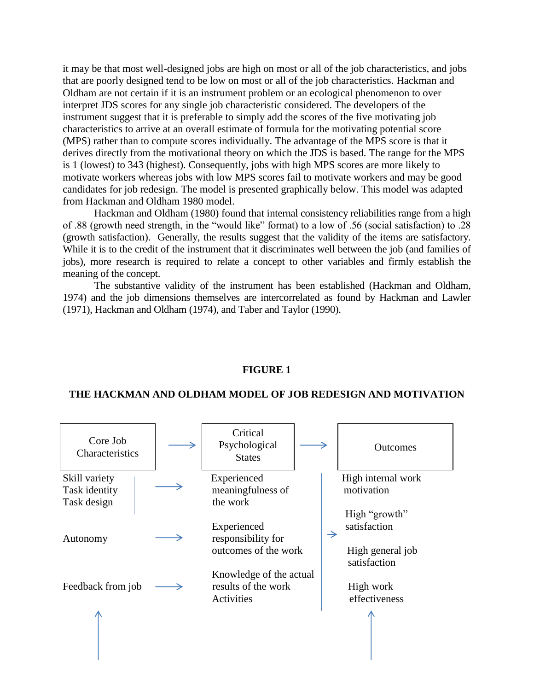it may be that most well-designed jobs are high on most or all of the job characteristics, and jobs that are poorly designed tend to be low on most or all of the job characteristics. Hackman and Oldham are not certain if it is an instrument problem or an ecological phenomenon to over interpret JDS scores for any single job characteristic considered. The developers of the instrument suggest that it is preferable to simply add the scores of the five motivating job characteristics to arrive at an overall estimate of formula for the motivating potential score (MPS) rather than to compute scores individually. The advantage of the MPS score is that it derives directly from the motivational theory on which the JDS is based. The range for the MPS is 1 (lowest) to 343 (highest). Consequently, jobs with high MPS scores are more likely to motivate workers whereas jobs with low MPS scores fail to motivate workers and may be good candidates for job redesign. The model is presented graphically below. This model was adapted from Hackman and Oldham 1980 model.

Hackman and Oldham (1980) found that internal consistency reliabilities range from a high of .88 (growth need strength, in the "would like" format) to a low of .56 (social satisfaction) to .28 (growth satisfaction). Generally, the results suggest that the validity of the items are satisfactory. While it is to the credit of the instrument that it discriminates well between the job (and families of jobs), more research is required to relate a concept to other variables and firmly establish the meaning of the concept.

The substantive validity of the instrument has been established (Hackman and Oldham, 1974) and the job dimensions themselves are intercorrelated as found by Hackman and Lawler (1971), Hackman and Oldham (1974), and Taber and Taylor (1990).

#### **FIGURE 1**

#### **THE HACKMAN AND OLDHAM MODEL OF JOB REDESIGN AND MOTIVATION**

| Core Job<br>Characteristics                   | Critical<br>Psychological<br><b>States</b>   |               | <b>Outcomes</b>                  |
|-----------------------------------------------|----------------------------------------------|---------------|----------------------------------|
| Skill variety<br>Task identity<br>Task design | Experienced<br>meaningfulness of<br>the work |               | High internal work<br>motivation |
|                                               |                                              |               | High "growth"                    |
|                                               | Experienced                                  |               | satisfaction                     |
| Autonomy                                      | responsibility for                           | $\rightarrow$ |                                  |
|                                               | outcomes of the work                         |               | High general job<br>satisfaction |
|                                               | Knowledge of the actual                      |               |                                  |
| Feedback from job                             | results of the work                          |               | High work                        |
|                                               | Activities                                   |               | effectiveness                    |
|                                               |                                              |               |                                  |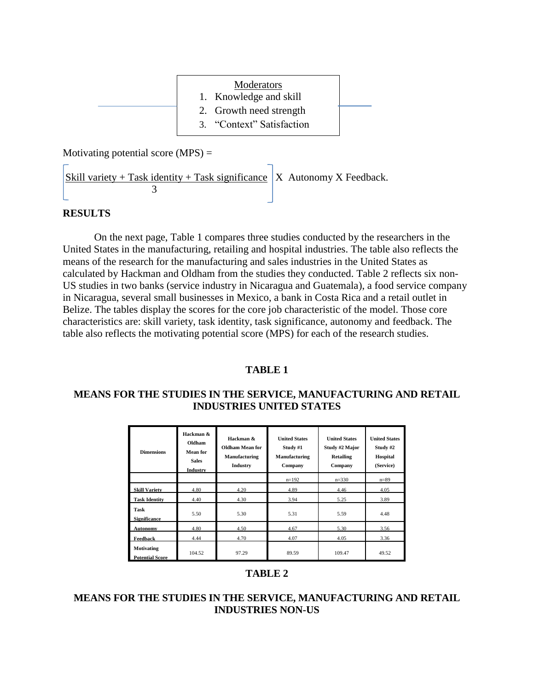| Moderators<br>1. Knowledge and skill                 |  |
|------------------------------------------------------|--|
| 2. Growth need strength<br>3. "Context" Satisfaction |  |

Motivating potential score  $(MPS)$  =

Skill variety + Task identity + Task significance  $X$  Autonomy X Feedback.  $\begin{array}{|c|c|c|}\n\hline\n\end{array}$  3

# **RESULTS**

On the next page, Table 1 compares three studies conducted by the researchers in the United States in the manufacturing, retailing and hospital industries. The table also reflects the means of the research for the manufacturing and sales industries in the United States as calculated by Hackman and Oldham from the studies they conducted. Table 2 reflects six non-US studies in two banks (service industry in Nicaragua and Guatemala), a food service company in Nicaragua, several small businesses in Mexico, a bank in Costa Rica and a retail outlet in Belize. The tables display the scores for the core job characteristic of the model. Those core characteristics are: skill variety, task identity, task significance, autonomy and feedback. The table also reflects the motivating potential score (MPS) for each of the research studies.

# **TABLE 1**

# **MEANS FOR THE STUDIES IN THE SERVICE, MANUFACTURING AND RETAIL INDUSTRIES UNITED STATES**

| <b>Dimensions</b>                           | Hackman &<br>Oldham<br><b>Mean</b> for<br><b>Sales</b><br>Industry | Hackman &<br><b>Oldham Mean for</b><br>Manufacturing<br>Industry | <b>United States</b><br>Study #1<br>Manufacturing<br>Company | <b>United States</b><br>Study #2 Major<br>Retailing<br>Company | <b>United States</b><br>Study #2<br><b>Hospital</b><br>(Service) |
|---------------------------------------------|--------------------------------------------------------------------|------------------------------------------------------------------|--------------------------------------------------------------|----------------------------------------------------------------|------------------------------------------------------------------|
|                                             |                                                                    |                                                                  | $n=192$                                                      | $n=330$                                                        | $n = 89$                                                         |
| <b>Skill Variety</b>                        | 4.80                                                               | 4.20                                                             | 4.89                                                         | 4.46                                                           | 4.05                                                             |
| <b>Task Identity</b>                        | 4.40                                                               | 4.30                                                             | 3.94                                                         | 5.25                                                           | 3.89                                                             |
| Task<br><b>Significance</b>                 | 5.50                                                               | 5.30                                                             | 5.31                                                         | 5.59                                                           | 4.48                                                             |
| <b>Autonomy</b>                             | 4.80                                                               | 4.50                                                             | 4.67                                                         | 5.30                                                           | 3.56                                                             |
| Feedback                                    | 4.44                                                               | 4.70                                                             | 4.07                                                         | 4.05                                                           | 3.36                                                             |
| <b>Motivating</b><br><b>Potential Score</b> | 104.52                                                             | 97.29                                                            | 89.59                                                        | 109.47                                                         | 49.52                                                            |

# **TABLE 2**

# **MEANS FOR THE STUDIES IN THE SERVICE, MANUFACTURING AND RETAIL INDUSTRIES NON-US**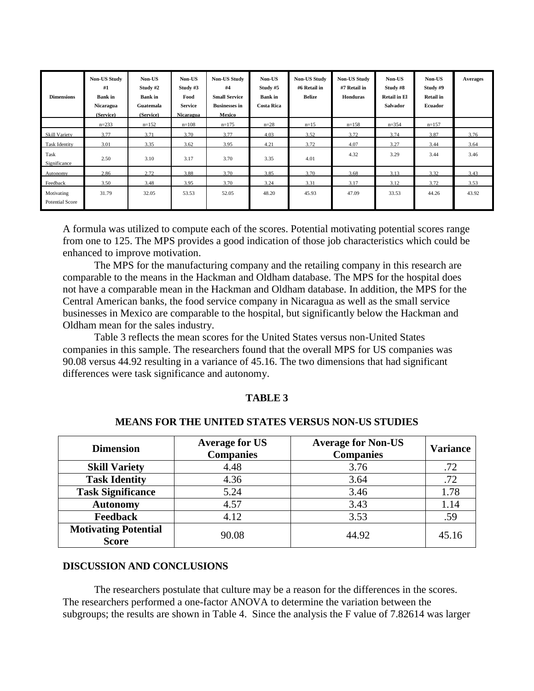| <b>Dimensions</b>                    | <b>Non-US Study</b><br>#1<br><b>Bank</b> in<br>Nicaragua<br>(Service) | Non-US<br>Study #2<br><b>Bank</b> in<br>Guatemala<br>(Service) | Non-US<br>Study $#3$<br>Food<br><b>Service</b><br>Nicaragua | <b>Non-US Study</b><br>#4<br><b>Small Service</b><br><b>Businesses in</b><br>Mexico | Non-US<br>Study #5<br><b>Bank</b> in<br><b>Costa Rica</b> | <b>Non-US Study</b><br>#6 Retail in<br>Belize | <b>Non-US Study</b><br>#7 Retail in<br>Honduras | Non-US<br>Study #8<br><b>Retail in El</b><br><b>Salvador</b> | Non-US<br>Study #9<br><b>Retail in</b><br><b>Ecuador</b> | <b>Averages</b> |
|--------------------------------------|-----------------------------------------------------------------------|----------------------------------------------------------------|-------------------------------------------------------------|-------------------------------------------------------------------------------------|-----------------------------------------------------------|-----------------------------------------------|-------------------------------------------------|--------------------------------------------------------------|----------------------------------------------------------|-----------------|
|                                      | $n = 233$                                                             | $n=152$                                                        | $n=108$                                                     | $n=175$                                                                             | $n = 28$                                                  | $n=15$                                        | $n=158$                                         | $n = 354$                                                    | $n=157$                                                  |                 |
| <b>Skill Variety</b>                 | 3.77                                                                  | 3.71                                                           | 3.70                                                        | 3.77                                                                                | 4.03                                                      | 3.52                                          | 3.72                                            | 3.74                                                         | 3.87                                                     | 3.76            |
| Task Identity                        | 3.01                                                                  | 3.35                                                           | 3.62                                                        | 3.95                                                                                | 4.21                                                      | 3.72                                          | 4.07                                            | 3.27                                                         | 3.44                                                     | 3.64            |
| Task<br>Significance                 | 2.50                                                                  | 3.10                                                           | 3.17                                                        | 3.70                                                                                | 3.35                                                      | 4.01                                          | 4.32                                            | 3.29                                                         | 3.44                                                     | 3.46            |
| Autonomy                             | 2.86                                                                  | 2.72                                                           | 3.88                                                        | 3.70                                                                                | 3.85                                                      | 3.70                                          | 3.68                                            | 3.13                                                         | 3.32                                                     | 3.43            |
| Feedback                             | 3.50                                                                  | 3.48                                                           | 3.95                                                        | 3.70                                                                                | 3.24                                                      | 3.31                                          | 3.17                                            | 3.12                                                         | 3.72                                                     | 3.53            |
| Motivating<br><b>Potential Score</b> | 31.79                                                                 | 32.05                                                          | 53.53                                                       | 52.05                                                                               | 48.20                                                     | 45.93                                         | 47.09                                           | 33.53                                                        | 44.26                                                    | 43.92           |

A formula was utilized to compute each of the scores. Potential motivating potential scores range from one to 125. The MPS provides a good indication of those job characteristics which could be enhanced to improve motivation.

The MPS for the manufacturing company and the retailing company in this research are comparable to the means in the Hackman and Oldham database. The MPS for the hospital does not have a comparable mean in the Hackman and Oldham database. In addition, the MPS for the Central American banks, the food service company in Nicaragua as well as the small service businesses in Mexico are comparable to the hospital, but significantly below the Hackman and Oldham mean for the sales industry.

Table 3 reflects the mean scores for the United States versus non-United States companies in this sample. The researchers found that the overall MPS for US companies was 90.08 versus 44.92 resulting in a variance of 45.16. The two dimensions that had significant differences were task significance and autonomy.

### **TABLE 3**

| <b>Dimension</b>                            | <b>Average for US</b><br><b>Companies</b> | <b>Average for Non-US</b><br><b>Companies</b> | <b>Variance</b> |
|---------------------------------------------|-------------------------------------------|-----------------------------------------------|-----------------|
| <b>Skill Variety</b>                        | 4.48                                      | 3.76                                          | .72             |
| <b>Task Identity</b>                        | 4.36                                      | 3.64                                          | .72             |
| <b>Task Significance</b>                    | 5.24                                      | 3.46                                          | 1.78            |
| <b>Autonomy</b>                             | 4.57                                      | 3.43                                          | 1.14            |
| <b>Feedback</b>                             | 4.12                                      | 3.53                                          | .59             |
| <b>Motivating Potential</b><br><b>Score</b> | 90.08                                     | 44.92                                         | 45.16           |

#### **MEANS FOR THE UNITED STATES VERSUS NON-US STUDIES**

#### **DISCUSSION AND CONCLUSIONS**

The researchers postulate that culture may be a reason for the differences in the scores. The researchers performed a one-factor ANOVA to determine the variation between the subgroups; the results are shown in Table 4. Since the analysis the F value of 7.82614 was larger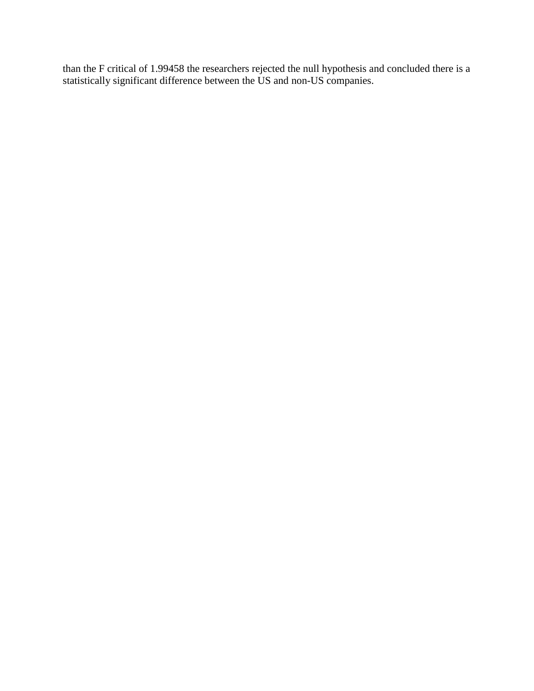than the F critical of 1.99458 the researchers rejected the null hypothesis and concluded there is a statistically significant difference between the US and non-US companies.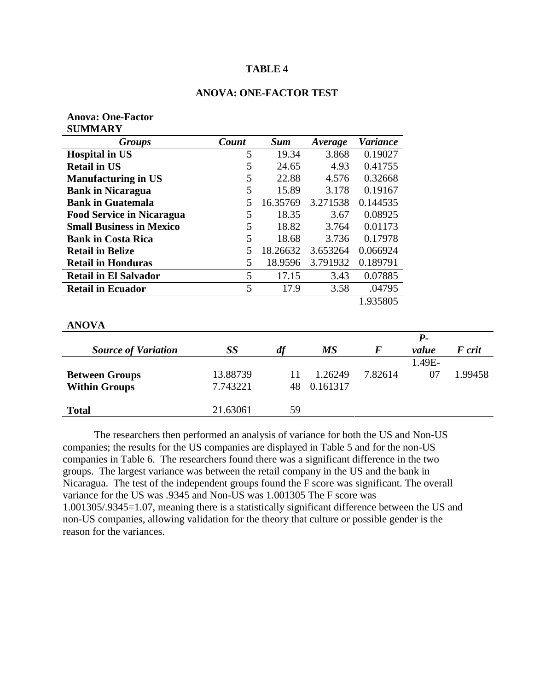## **TABLE 4**

**Anova: One-Factor**

| 5        | 24.65             | 4.93                | 0.41755          |                            |
|----------|-------------------|---------------------|------------------|----------------------------|
| 5        | 22.88             | 4.576               | 0.32668          |                            |
| 5        | 15.89             | 3.178               | 0.19167          |                            |
| 5        | 16.35769          | 3.271538            | 0.144535         |                            |
| 5        | 18.35             | 3.67                | 0.08925          |                            |
| 5        | 18.82             | 3.764               | 0.01173          |                            |
| 5        | 18.68             | 3.736               | 0.17978          |                            |
| 5        | 18.26632          | 3.653264            | 0.066924         |                            |
| 5        | 18.9596           | 3.791932            | 0.189791         |                            |
| 5        | 17.15             | 3.43                | 0.07885          |                            |
| 5        | 17.9              | 3.58                | .04795           |                            |
|          |                   |                     | 1.935805         |                            |
|          |                   |                     |                  |                            |
| SS       | df                | <b>MS</b>           | $\bm{F}$         | $P-$<br>value              |
|          |                   |                     |                  | 1.49E-                     |
| 13.88739 | 11                | 1.26249             | 7.82614          |                            |
| 7.743221 | 48                | 0.161317            |                  |                            |
|          | <b>Count</b><br>5 | <b>Sum</b><br>19.34 | Average<br>3.868 | <b>Variance</b><br>0.19027 |

The researchers then performed an analysis of variance for both the US and Non-US companies; the results for the US companies are displayed in Table 5 and for the non-US companies in Table 6. The researchers found there was a significant difference in the two groups. The largest variance was between the retail company in the US and the bank in Nicaragua. The test of the independent groups found the F score was significant. The overall variance for the US was .9345 and Non-US was 1.001305 The F score was 1.001305/.9345=1.07, meaning there is a statistically significant difference between the US and non-US companies, allowing validation for the theory that culture or possible gender is the reason for the variances.

**Total** 21.63061 59

*F crit* 

1.99458

### **ANOVA: ONE-FACTOR TEST**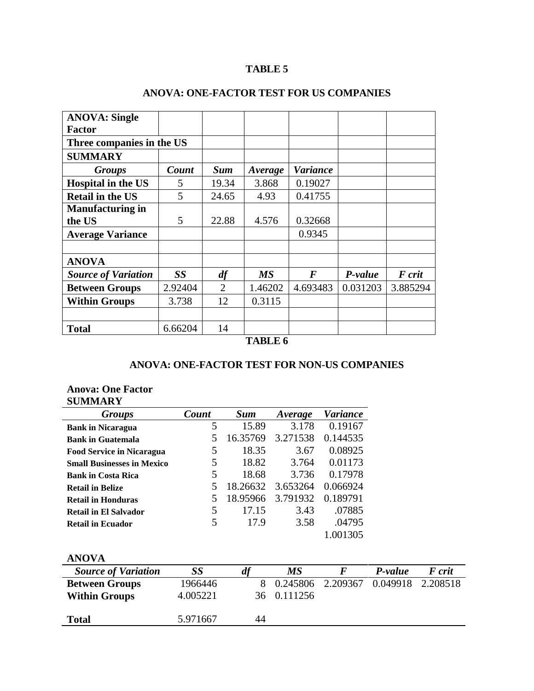# **TABLE 5**

| <b>ANOVA: Single</b>       |           |                |           |                  |          |          |
|----------------------------|-----------|----------------|-----------|------------------|----------|----------|
| <b>Factor</b>              |           |                |           |                  |          |          |
| Three companies in the US  |           |                |           |                  |          |          |
| <b>SUMMARY</b>             |           |                |           |                  |          |          |
| <b>Groups</b>              | Count     | <b>Sum</b>     | Average   | Variance         |          |          |
| <b>Hospital in the US</b>  | 5         | 19.34          | 3.868     | 0.19027          |          |          |
| <b>Retail in the US</b>    | 5         | 24.65          | 4.93      | 0.41755          |          |          |
| <b>Manufacturing in</b>    |           |                |           |                  |          |          |
| the US                     | 5         | 22.88          | 4.576     | 0.32668          |          |          |
| <b>Average Variance</b>    |           |                |           | 0.9345           |          |          |
|                            |           |                |           |                  |          |          |
| <b>ANOVA</b>               |           |                |           |                  |          |          |
| <b>Source of Variation</b> | <b>SS</b> | df             | <b>MS</b> | $\boldsymbol{F}$ | P-value  | F crit   |
| <b>Between Groups</b>      | 2.92404   | $\overline{2}$ | 1.46202   | 4.693483         | 0.031203 | 3.885294 |
| <b>Within Groups</b>       | 3.738     | 12             | 0.3115    |                  |          |          |
|                            |           |                |           |                  |          |          |
| <b>Total</b>               | 6.66204   | 14             |           |                  |          |          |
|                            |           |                | TADI E C  |                  |          |          |

# **ANOVA: ONE-FACTOR TEST FOR US COMPANIES**

# **TABLE 6**

# **ANOVA: ONE-FACTOR TEST FOR NON-US COMPANIES**

# **Anova: One Factor SUMMARY**

| <b>Groups</b>                     | Count | <b>Sum</b> | Average  | Variance |
|-----------------------------------|-------|------------|----------|----------|
| <b>Bank in Nicaragua</b>          | 5     | 15.89      | 3.178    | 0.19167  |
| <b>Bank in Guatemala</b>          | 5     | 16.35769   | 3.271538 | 0.144535 |
| <b>Food Service in Nicaragua</b>  | 5     | 18.35      | 3.67     | 0.08925  |
| <b>Small Businesses in Mexico</b> | 5     | 18.82      | 3.764    | 0.01173  |
| <b>Bank in Costa Rica</b>         | 5     | 18.68      | 3.736    | 0.17978  |
| <b>Retail in Belize</b>           | 5     | 18.26632   | 3.653264 | 0.066924 |
| <b>Retail in Honduras</b>         | 5     | 18.95966   | 3.791932 | 0.189791 |
| <b>Retail in El Salvador</b>      | 5     | 17.15      | 3.43     | .07885   |
| <b>Retail in Ecuador</b>          | 5     | 17.9       | 3.58     | .04795   |
|                                   |       |            |          | 1.001305 |
|                                   |       |            |          |          |
| ANOVA                             |       |            |          |          |

| ANUVA                      |          |    |            |                            |         |        |
|----------------------------|----------|----|------------|----------------------------|---------|--------|
| <b>Source of Variation</b> | SS       | df | МS         |                            | P-value | F crit |
| <b>Between Groups</b>      | 1966446  |    | 8 0.245806 | 2.209367 0.049918 2.208518 |         |        |
| <b>Within Groups</b>       | 4.005221 | 36 | 0.111256   |                            |         |        |
| <b>Total</b>               | 5.971667 | 44 |            |                            |         |        |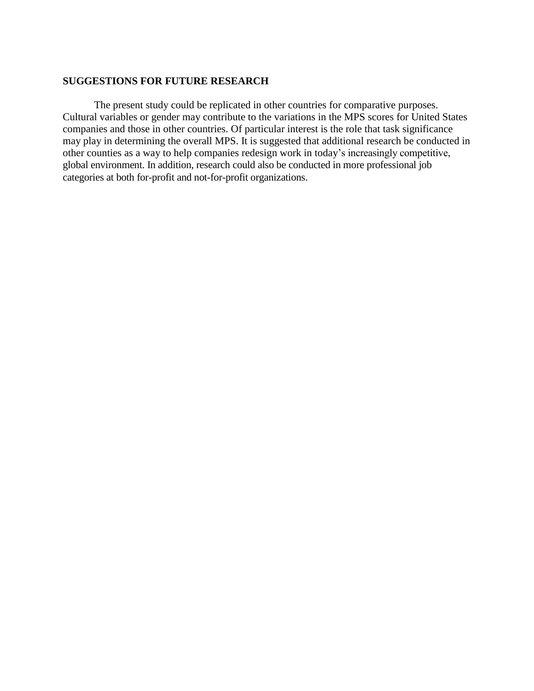#### **SUGGESTIONS FOR FUTURE RESEARCH**

The present study could be replicated in other countries for comparative purposes. Cultural variables or gender may contribute to the variations in the MPS scores for United States companies and those in other countries. Of particular interest is the role that task significance may play in determining the overall MPS. It is suggested that additional research be conducted in other counties as a way to help companies redesign work in today's increasingly competitive, global environment. In addition, research could also be conducted in more professional job categories at both for-profit and not-for-profit organizations.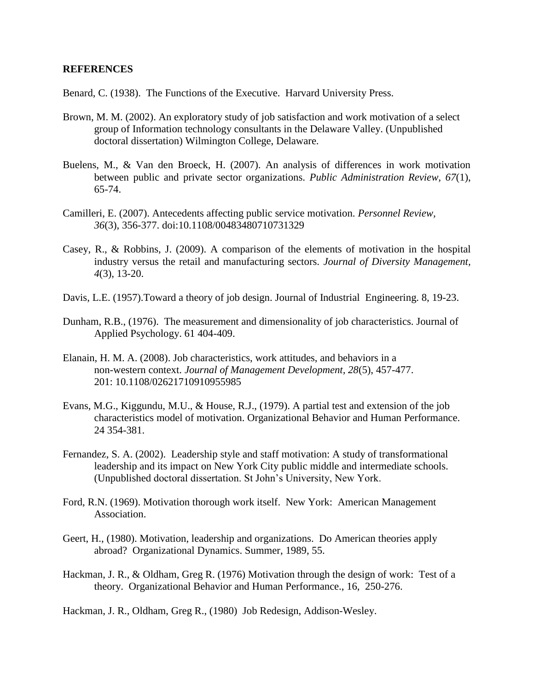#### **REFERENCES**

Benard, C. (1938). The Functions of the Executive. Harvard University Press.

- Brown, M. M. (2002). An exploratory study of job satisfaction and work motivation of a select group of Information technology consultants in the Delaware Valley. (Unpublished doctoral dissertation) Wilmington College, Delaware.
- Buelens, M., & Van den Broeck, H. (2007). An analysis of differences in work motivation between public and private sector organizations. *Public Administration Review, 67*(1), 65-74.
- Camilleri, E. (2007). Antecedents affecting public service motivation. *Personnel Review, 36*(3), 356-377. doi:10.1108/00483480710731329
- Casey, R., & Robbins, J. (2009). A comparison of the elements of motivation in the hospital industry versus the retail and manufacturing sectors. *Journal of Diversity Management, 4*(3), 13-20.
- Davis, L.E. (1957).Toward a theory of job design. Journal of Industrial Engineering. 8, 19-23.
- Dunham, R.B., (1976). The measurement and dimensionality of job characteristics. Journal of Applied Psychology. 61 404-409.
- Elanain, H. M. A. (2008). Job characteristics, work attitudes, and behaviors in a non-western context. *Journal of Management Development, 28*(5), 457-477. 201: 10.1108/02621710910955985
- Evans, M.G., Kiggundu, M.U., & House, R.J., (1979). A partial test and extension of the job characteristics model of motivation. Organizational Behavior and Human Performance. 24 354-381.
- Fernandez, S. A. (2002). Leadership style and staff motivation: A study of transformational leadership and its impact on New York City public middle and intermediate schools. (Unpublished doctoral dissertation. St John's University, New York.
- Ford, R.N. (1969). Motivation thorough work itself. New York: American Management Association.
- Geert, H., (1980). Motivation, leadership and organizations. Do American theories apply abroad? Organizational Dynamics. Summer, 1989, 55.
- Hackman, J. R., & Oldham, Greg R. (1976) Motivation through the design of work: Test of a theory. Organizational Behavior and Human Performance., 16, 250-276.

Hackman, J. R., Oldham, Greg R., (1980) Job Redesign, Addison-Wesley.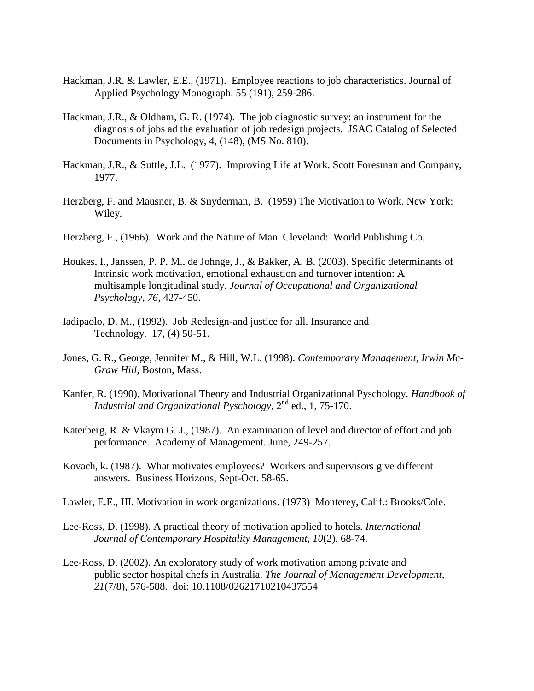- Hackman, J.R. & Lawler, E.E., (1971). Employee reactions to job characteristics. Journal of Applied Psychology Monograph. 55 (191), 259-286.
- Hackman, J.R., & Oldham, G. R. (1974). The job diagnostic survey: an instrument for the diagnosis of jobs ad the evaluation of job redesign projects. JSAC Catalog of Selected Documents in Psychology, 4, (148), (MS No. 810).
- Hackman, J.R., & Suttle, J.L. (1977). Improving Life at Work. Scott Foresman and Company, 1977.
- Herzberg, F. and Mausner, B. & Snyderman, B. (1959) The Motivation to Work. New York: Wiley.
- Herzberg, F., (1966). Work and the Nature of Man. Cleveland: World Publishing Co.
- Houkes, I., Janssen, P. P. M., de Johnge, J., & Bakker, A. B. (2003). Specific determinants of Intrinsic work motivation, emotional exhaustion and turnover intention: A multisample longitudinal study. *Journal of Occupational and Organizational Psychology, 76,* 427-450.
- Iadipaolo, D. M., (1992). Job Redesign-and justice for all. Insurance and Technology. 17, (4) 50-51.
- Jones, G. R., George, Jennifer M., & Hill, W.L. (1998). *Contemporary Management, Irwin Mc-Graw Hill,* Boston, Mass.
- Kanfer, R. (1990). Motivational Theory and Industrial Organizational Pyschology. *Handbook of Industrial and Organizational Pyschology*, 2nd ed., 1, 75-170.
- Katerberg, R. & Vkaym G. J., (1987). An examination of level and director of effort and job performance. Academy of Management. June, 249-257.
- Kovach, k. (1987). What motivates employees? Workers and supervisors give different answers. Business Horizons, Sept-Oct. 58-65.
- Lawler, E.E., III. Motivation in work organizations. (1973) Monterey, Calif.: Brooks/Cole.
- Lee-Ross, D. (1998). A practical theory of motivation applied to hotels. *International Journal of Contemporary Hospitality Management, 10*(2), 68-74.
- Lee-Ross, D. (2002). An exploratory study of work motivation among private and public sector hospital chefs in Australia. *The Journal of Management Development, 21*(7/8), 576-588. doi: 10.1108/02621710210437554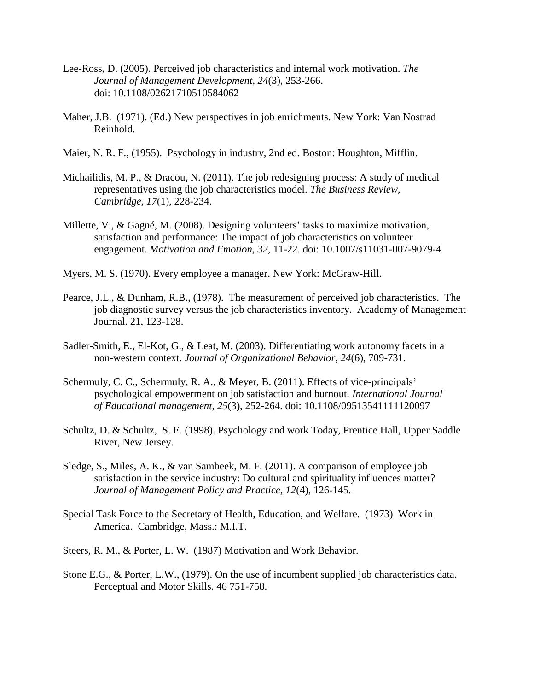- Lee-Ross, D. (2005). Perceived job characteristics and internal work motivation. *The Journal of Management Development, 24*(3), 253-266. doi: 10.1108/02621710510584062
- Maher, J.B. (1971). (Ed.) New perspectives in job enrichments. New York: Van Nostrad Reinhold.
- Maier, N. R. F., (1955). Psychology in industry, 2nd ed. Boston: Houghton, Mifflin.
- Michailidis, M. P., & Dracou, N. (2011). The job redesigning process: A study of medical representatives using the job characteristics model. *The Business Review, Cambridge, 17*(1), 228-234.
- Millette, V., & Gagné, M. (2008). Designing volunteers' tasks to maximize motivation, satisfaction and performance: The impact of job characteristics on volunteer engagement. *Motivation and Emotion, 32,* 11-22. doi: 10.1007/s11031-007-9079-4
- Myers, M. S. (1970). Every employee a manager. New York: McGraw-Hill.
- Pearce, J.L., & Dunham, R.B., (1978). The measurement of perceived job characteristics. The job diagnostic survey versus the job characteristics inventory. Academy of Management Journal. 21, 123-128.
- Sadler-Smith, E., El-Kot, G., & Leat, M. (2003). Differentiating work autonomy facets in a non-western context. *Journal of Organizational Behavior, 24*(6), 709-731.
- Schermuly, C. C., Schermuly, R. A., & Meyer, B. (2011). Effects of vice-principals' psychological empowerment on job satisfaction and burnout. *International Journal of Educational management, 25*(3), 252-264. doi: 10.1108/09513541111120097
- Schultz, D. & Schultz, S. E. (1998). Psychology and work Today, Prentice Hall, Upper Saddle River, New Jersey.
- Sledge, S., Miles, A. K., & van Sambeek, M. F. (2011). A comparison of employee job satisfaction in the service industry: Do cultural and spirituality influences matter? *Journal of Management Policy and Practice, 12*(4), 126-145.
- Special Task Force to the Secretary of Health, Education, and Welfare. (1973) Work in America. Cambridge, Mass.: M.I.T.
- Steers, R. M., & Porter, L. W. (1987) Motivation and Work Behavior.
- Stone E.G., & Porter, L.W., (1979). On the use of incumbent supplied job characteristics data. Perceptual and Motor Skills. 46 751-758.